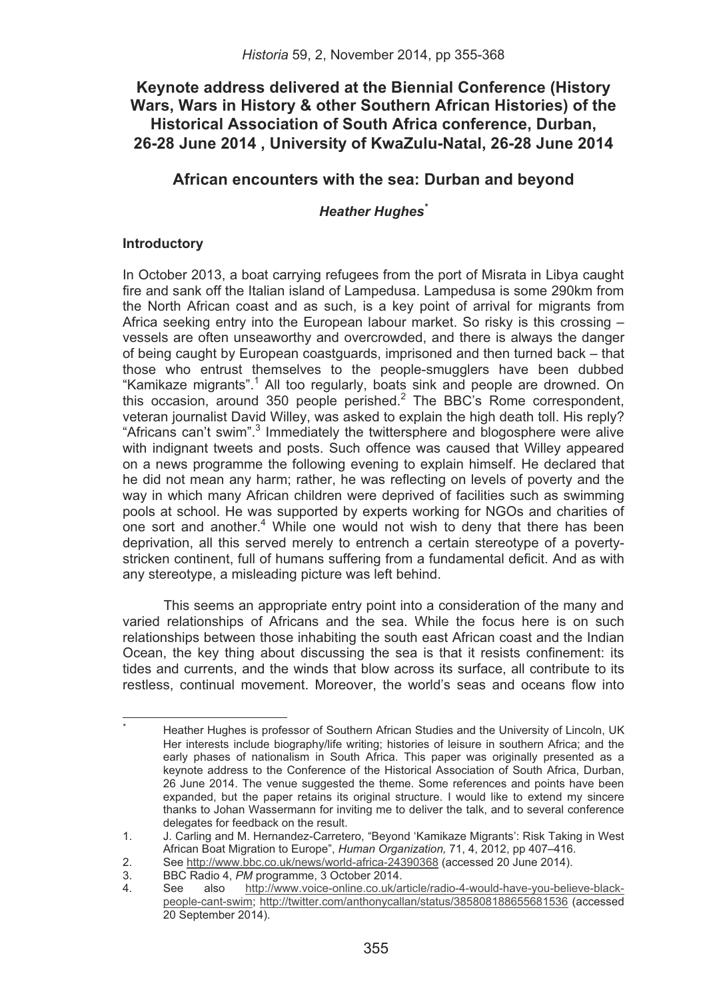# **Keynote address delivered at the Biennial Conference (History Wars, Wars in History & other Southern African Histories) of the Historical Association of South Africa conference, Durban, 26-28 June 2014 , University of KwaZulu-Natal, 26-28 June 2014**

# **African encounters with the sea: Durban and beyond**

# *Heather Hughes\**

## **Introductory**

In October 2013, a boat carrying refugees from the port of Misrata in Libya caught fire and sank off the Italian island of Lampedusa. Lampedusa is some 290km from the North African coast and as such, is a key point of arrival for migrants from Africa seeking entry into the European labour market. So risky is this crossing – vessels are often unseaworthy and overcrowded, and there is always the danger of being caught by European coastguards, imprisoned and then turned back – that those who entrust themselves to the people-smugglers have been dubbed "Kamikaze migrants".<sup>1</sup> All too regularly, boats sink and people are drowned. On this occasion, around 350 people perished. $2$  The BBC's Rome correspondent, veteran journalist David Willey, was asked to explain the high death toll. His reply? "Africans can't swim".<sup>3</sup> Immediately the twittersphere and blogosphere were alive with indignant tweets and posts. Such offence was caused that Willey appeared on a news programme the following evening to explain himself. He declared that he did not mean any harm; rather, he was reflecting on levels of poverty and the way in which many African children were deprived of facilities such as swimming pools at school. He was supported by experts working for NGOs and charities of one sort and another.<sup>4</sup> While one would not wish to deny that there has been deprivation, all this served merely to entrench a certain stereotype of a povertystricken continent, full of humans suffering from a fundamental deficit. And as with any stereotype, a misleading picture was left behind.

This seems an appropriate entry point into a consideration of the many and varied relationships of Africans and the sea. While the focus here is on such relationships between those inhabiting the south east African coast and the Indian Ocean, the key thing about discussing the sea is that it resists confinement: its tides and currents, and the winds that blow across its surface, all contribute to its restless, continual movement. Moreover, the world's seas and oceans flow into

������������������������������������������������������������

<sup>\*</sup> �� Heather Hughes is professor of Southern African Studies and the University of Lincoln, UK Her interests include biography/life writing; histories of leisure in southern Africa; and the early phases of nationalism in South Africa. This paper was originally presented as a keynote address to the Conference of the Historical Association of South Africa, Durban, 26 June 2014. The venue suggested the theme. Some references and points have been expanded, but the paper retains its original structure. I would like to extend my sincere thanks to Johan Wassermann for inviting me to deliver the talk, and to several conference delegates for feedback on the result.

<sup>1.</sup> J. Carling and M. Hernandez-Carretero, "Beyond 'Kamikaze Migrants': Risk Taking in West African Boat Migration to Europe", *Human Organization,* 71, 4, 2012, pp 407–416.

<sup>2.</sup> See http://www.bbc.co.uk/news/world-africa-24390368 (accessed 20 June 2014).<br>3. BBC Radio 4. PM programme. 3 October 2014.

<sup>3.</sup> BBC Radio 4, *PM* programme, 3 October 2014.

<sup>4.</sup> See also http://www.voice-online.co.uk/article/radio-4-would-have-you-believe-blackpeople-cant-swim; http://twitter.com/anthonycallan/status/385808188655681536 (accessed 20 September 2014).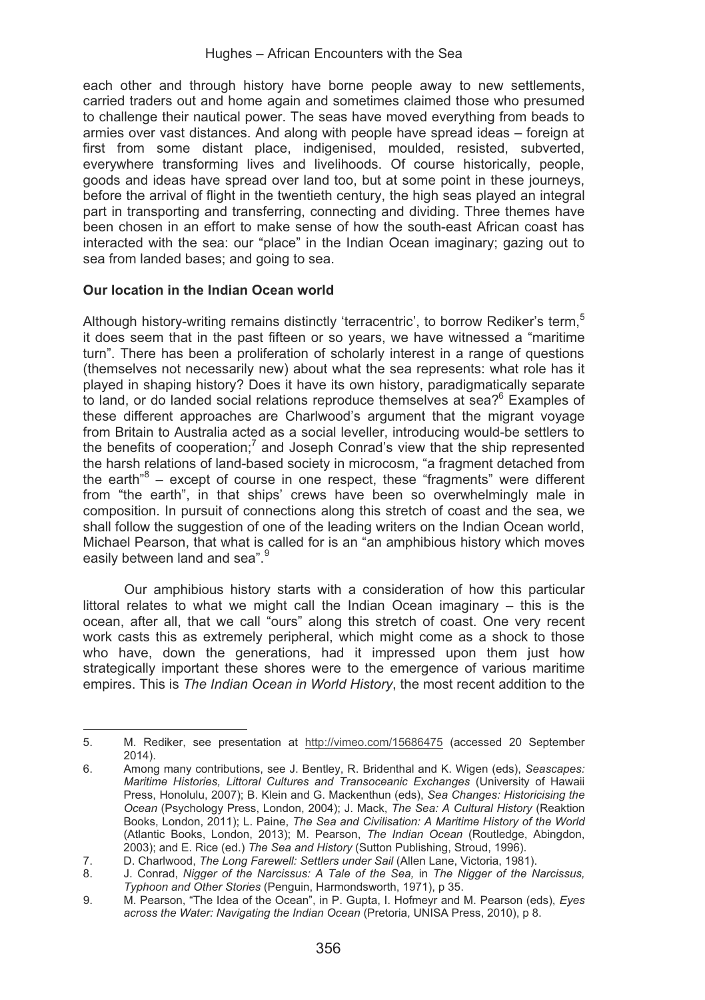each other and through history have borne people away to new settlements, carried traders out and home again and sometimes claimed those who presumed to challenge their nautical power. The seas have moved everything from beads to armies over vast distances. And along with people have spread ideas – foreign at first from some distant place, indigenised, moulded, resisted, subverted, everywhere transforming lives and livelihoods. Of course historically, people, goods and ideas have spread over land too, but at some point in these journeys, before the arrival of flight in the twentieth century, the high seas played an integral part in transporting and transferring, connecting and dividing. Three themes have been chosen in an effort to make sense of how the south-east African coast has interacted with the sea: our "place" in the Indian Ocean imaginary; gazing out to sea from landed bases; and going to sea.

# **Our location in the Indian Ocean world**

Although history-writing remains distinctly 'terracentric', to borrow Rediker's term.<sup>5</sup> it does seem that in the past fifteen or so years, we have witnessed a "maritime turn". There has been a proliferation of scholarly interest in a range of questions (themselves not necessarily new) about what the sea represents: what role has it played in shaping history? Does it have its own history, paradigmatically separate to land, or do landed social relations reproduce themselves at sea?<sup>6</sup> Examples of these different approaches are Charlwood's argument that the migrant voyage from Britain to Australia acted as a social leveller, introducing would-be settlers to the benefits of cooperation;<sup>7</sup> and Joseph Conrad's view that the ship represented the harsh relations of land-based society in microcosm, "a fragment detached from the earth<sup>"8</sup> – except of course in one respect, these "fragments" were different from "the earth", in that ships' crews have been so overwhelmingly male in composition. In pursuit of connections along this stretch of coast and the sea, we shall follow the suggestion of one of the leading writers on the Indian Ocean world. Michael Pearson, that what is called for is an "an amphibious history which moves easily between land and sea".<sup>9</sup>

Our amphibious history starts with a consideration of how this particular littoral relates to what we might call the Indian Ocean imaginary – this is the ocean, after all, that we call "ours" along this stretch of coast. One very recent work casts this as extremely peripheral, which might come as a shock to those who have, down the generations, had it impressed upon them just how strategically important these shores were to the emergence of various maritime empires. This is *The Indian Ocean in World History*, the most recent addition to the

<sup>&</sup>lt;u> Andrew Maria (1989)</u> 5. M. Rediker, see presentation at http://vimeo.com/15686475 (accessed 20 September 2014).

<sup>6.</sup> Among many contributions, see J. Bentley, R. Bridenthal and K. Wigen (eds), *Seascapes: Maritime Histories, Littoral Cultures and Transoceanic Exchanges* (University of Hawaii Press, Honolulu, 2007); B. Klein and G. Mackenthun (eds), *Sea Changes: Historicising the Ocean* (Psychology Press, London, 2004); J. Mack, *The Sea: A Cultural History* (Reaktion Books, London, 2011); L. Paine, *The Sea and Civilisation: A Maritime History of the World*  (Atlantic Books, London, 2013); M. Pearson, *The Indian Ocean* (Routledge, Abingdon, 2003); and E. Rice (ed.) *The Sea and History* (Sutton Publishing, Stroud, 1996).

<sup>7.</sup> D. Charlwood, *The Long Farewell: Settlers under Sail* (Allen Lane, Victoria, 1981).

<sup>8.</sup> J. Conrad, *Nigger of the Narcissus: A Tale of the Sea,* in *The Nigger of the Narcissus, Typhoon and Other Stories* (Penguin, Harmondsworth, 1971), p 35.

<sup>9.</sup> M. Pearson, "The Idea of the Ocean", in P. Gupta, I. Hofmeyr and M. Pearson (eds), *Eyes across the Water: Navigating the Indian Ocean* (Pretoria, UNISA Press, 2010), p 8.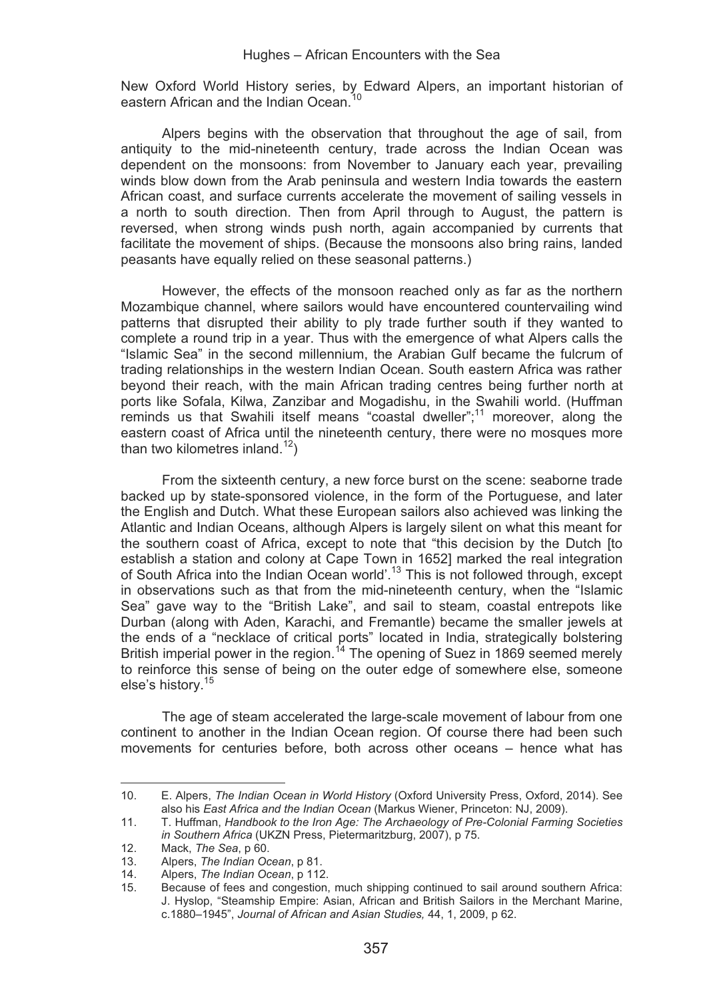New Oxford World History series, by Edward Alpers, an important historian of eastern African and the Indian Ocean.<sup>10</sup>

Alpers begins with the observation that throughout the age of sail, from antiquity to the mid-nineteenth century, trade across the Indian Ocean was dependent on the monsoons: from November to January each year, prevailing winds blow down from the Arab peninsula and western India towards the eastern African coast, and surface currents accelerate the movement of sailing vessels in a north to south direction. Then from April through to August, the pattern is reversed, when strong winds push north, again accompanied by currents that facilitate the movement of ships. (Because the monsoons also bring rains, landed peasants have equally relied on these seasonal patterns.)

However, the effects of the monsoon reached only as far as the northern Mozambique channel, where sailors would have encountered countervailing wind patterns that disrupted their ability to ply trade further south if they wanted to complete a round trip in a year. Thus with the emergence of what Alpers calls the "Islamic Sea" in the second millennium, the Arabian Gulf became the fulcrum of trading relationships in the western Indian Ocean. South eastern Africa was rather beyond their reach, with the main African trading centres being further north at ports like Sofala, Kilwa, Zanzibar and Mogadishu, in the Swahili world. (Huffman reminds us that Swahili itself means "coastal dweller";<sup>11</sup> moreover, along the eastern coast of Africa until the nineteenth century, there were no mosques more than two kilometres inland.<sup>12</sup>)

From the sixteenth century, a new force burst on the scene: seaborne trade backed up by state-sponsored violence, in the form of the Portuguese, and later the English and Dutch. What these European sailors also achieved was linking the Atlantic and Indian Oceans, although Alpers is largely silent on what this meant for the southern coast of Africa, except to note that "this decision by the Dutch [to establish a station and colony at Cape Town in 1652] marked the real integration of South Africa into the Indian Ocean world'.13 This is not followed through, except in observations such as that from the mid-nineteenth century, when the "Islamic Sea" gave way to the "British Lake", and sail to steam, coastal entrepots like Durban (along with Aden, Karachi, and Fremantle) became the smaller jewels at the ends of a "necklace of critical ports" located in India, strategically bolstering British imperial power in the region.14 The opening of Suez in 1869 seemed merely to reinforce this sense of being on the outer edge of somewhere else, someone else's history.15

The age of steam accelerated the large-scale movement of labour from one continent to another in the Indian Ocean region. Of course there had been such movements for centuries before, both across other oceans – hence what has

<u> Andrew Maria (1989)</u>

<sup>10.</sup> E. Alpers, *The Indian Ocean in World History* (Oxford University Press, Oxford, 2014). See also his *East Africa and the Indian Ocean* (Markus Wiener, Princeton: NJ, 2009).

<sup>11.</sup> T. Huffman, *Handbook to the Iron Age: The Archaeology of Pre-Colonial Farming Societies in Southern Africa* (UKZN Press, Pietermaritzburg, 2007), p 75.

<sup>12.</sup> Mack, *The Sea*, p 60.<br>13 Alpers, *The Indian Oc* 

<sup>13.</sup> Alpers, *The Indian Ocean*, p 81.

<sup>14.</sup> Alpers, *The Indian Ocean*, p 112.

<sup>15.</sup> Because of fees and congestion, much shipping continued to sail around southern Africa: J. Hyslop, "Steamship Empire: Asian, African and British Sailors in the Merchant Marine, c.1880–1945", *Journal of African and Asian Studies,* 44, 1, 2009, p 62.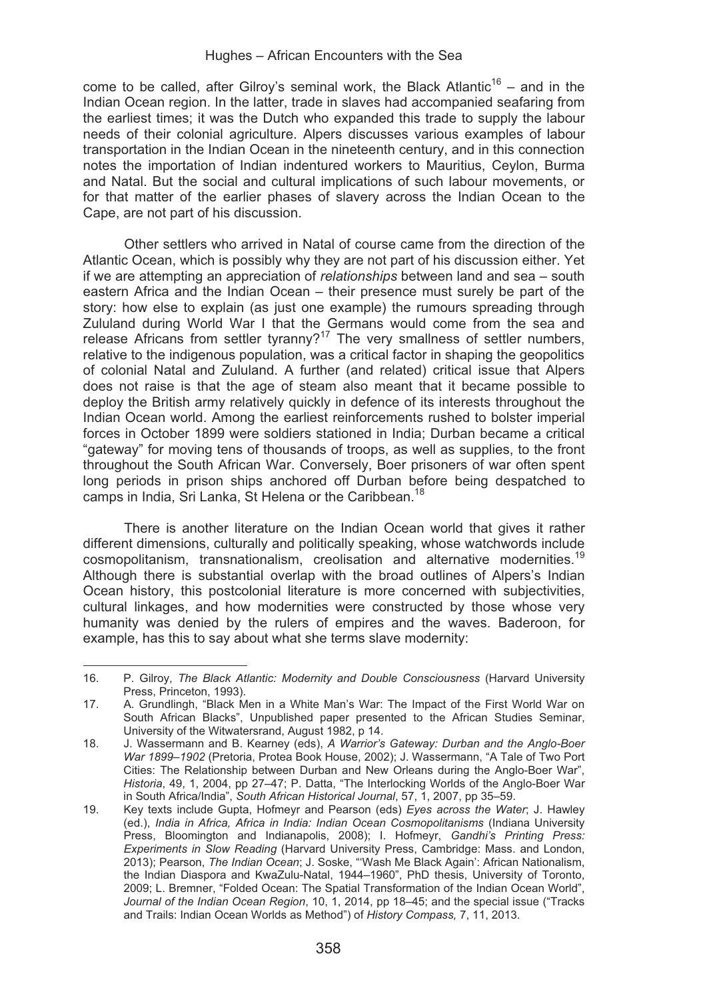come to be called, after Gilroy's seminal work, the Black Atlantic<sup>16</sup> – and in the Indian Ocean region. In the latter, trade in slaves had accompanied seafaring from the earliest times; it was the Dutch who expanded this trade to supply the labour needs of their colonial agriculture. Alpers discusses various examples of labour transportation in the Indian Ocean in the nineteenth century, and in this connection notes the importation of Indian indentured workers to Mauritius, Ceylon, Burma and Natal. But the social and cultural implications of such labour movements, or for that matter of the earlier phases of slavery across the Indian Ocean to the Cape, are not part of his discussion.

Other settlers who arrived in Natal of course came from the direction of the Atlantic Ocean, which is possibly why they are not part of his discussion either. Yet if we are attempting an appreciation of *relationships* between land and sea – south eastern Africa and the Indian Ocean – their presence must surely be part of the story: how else to explain (as just one example) the rumours spreading through Zululand during World War I that the Germans would come from the sea and release Africans from settler tyranny?<sup>17</sup> The very smallness of settler numbers, relative to the indigenous population, was a critical factor in shaping the geopolitics of colonial Natal and Zululand. A further (and related) critical issue that Alpers does not raise is that the age of steam also meant that it became possible to deploy the British army relatively quickly in defence of its interests throughout the Indian Ocean world. Among the earliest reinforcements rushed to bolster imperial forces in October 1899 were soldiers stationed in India; Durban became a critical "gateway" for moving tens of thousands of troops, as well as supplies, to the front throughout the South African War. Conversely, Boer prisoners of war often spent long periods in prison ships anchored off Durban before being despatched to camps in India, Sri Lanka, St Helena or the Caribbean.<sup>18</sup>

There is another literature on the Indian Ocean world that gives it rather different dimensions, culturally and politically speaking, whose watchwords include cosmopolitanism, transnationalism, creolisation and alternative modernities.19 Although there is substantial overlap with the broad outlines of Alpers's Indian Ocean history, this postcolonial literature is more concerned with subjectivities, cultural linkages, and how modernities were constructed by those whose very humanity was denied by the rulers of empires and the waves. Baderoon, for example, has this to say about what she terms slave modernity:

<sup>&</sup>lt;u> Andrew Maria (1989)</u> 16. P. Gilroy, *The Black Atlantic: Modernity and Double Consciousness* (Harvard University Press, Princeton, 1993).

<sup>17.</sup> A. Grundlingh, "Black Men in a White Man's War: The Impact of the First World War on South African Blacks", Unpublished paper presented to the African Studies Seminar, University of the Witwatersrand, August 1982, p 14.

<sup>18.</sup> J. Wassermann and B. Kearney (eds), *A Warrior's Gateway: Durban and the Anglo-Boer War 1899–1902* (Pretoria, Protea Book House, 2002); J. Wassermann, "A Tale of Two Port Cities: The Relationship between Durban and New Orleans during the Anglo-Boer War", *Historia*, 49, 1, 2004, pp 27–47; P. Datta, "The Interlocking Worlds of the Anglo-Boer War in South Africa/India", *South African Historical Journal*, 57, 1, 2007, pp 35–59.

<sup>19.</sup> Key texts include Gupta, Hofmeyr and Pearson (eds) *Eyes across the Water*; J. Hawley (ed.), *India in Africa, Africa in India: Indian Ocean Cosmopolitanisms* (Indiana University Press, Bloomington and Indianapolis, 2008); I. Hofmeyr, *Gandhi's Printing Press: Experiments in Slow Reading* (Harvard University Press, Cambridge: Mass. and London, 2013); Pearson, *The Indian Ocean*; J. Soske, "'Wash Me Black Again': African Nationalism, the Indian Diaspora and KwaZulu-Natal, 1944–1960", PhD thesis, University of Toronto, 2009; L. Bremner, "Folded Ocean: The Spatial Transformation of the Indian Ocean World", *Journal of the Indian Ocean Region*, 10, 1, 2014, pp 18–45; and the special issue ("Tracks and Trails: Indian Ocean Worlds as Method") of *History Compass,* 7, 11, 2013.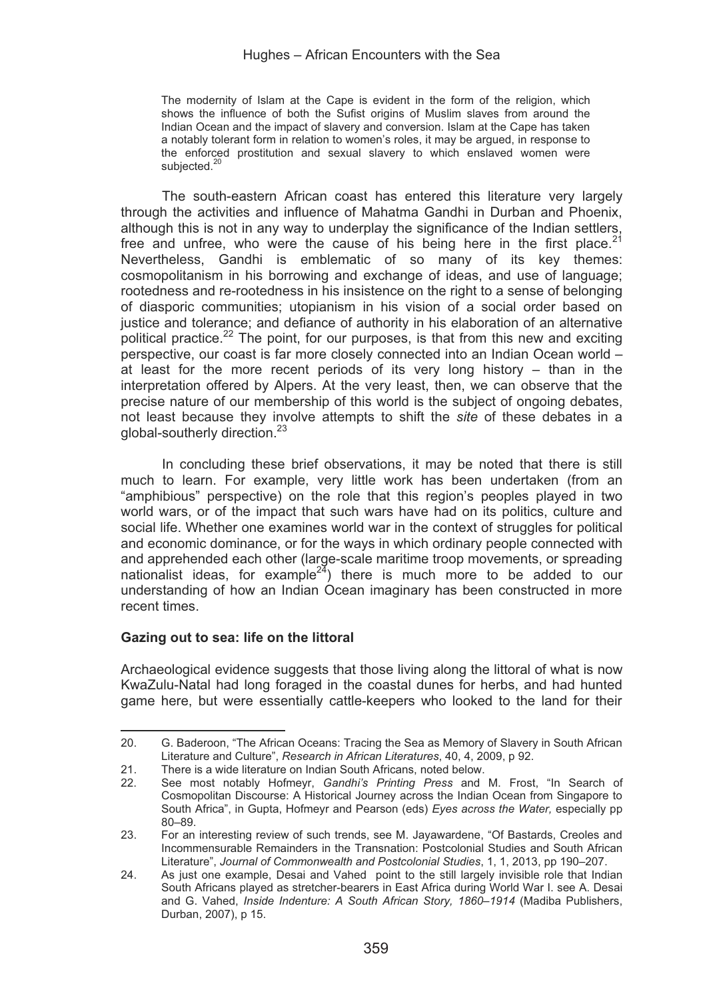The modernity of Islam at the Cape is evident in the form of the religion, which shows the influence of both the Sufist origins of Muslim slaves from around the Indian Ocean and the impact of slavery and conversion. Islam at the Cape has taken a notably tolerant form in relation to women's roles, it may be argued, in response to the enforced prostitution and sexual slavery to which enslaved women were subjected.<sup>20</sup>

The south-eastern African coast has entered this literature very largely through the activities and influence of Mahatma Gandhi in Durban and Phoenix, although this is not in any way to underplay the significance of the Indian settlers, free and unfree, who were the cause of his being here in the first place. $2<sup>i</sup>$ Nevertheless, Gandhi is emblematic of so many of its key themes: cosmopolitanism in his borrowing and exchange of ideas, and use of language; rootedness and re-rootedness in his insistence on the right to a sense of belonging of diasporic communities; utopianism in his vision of a social order based on justice and tolerance; and defiance of authority in his elaboration of an alternative political practice.<sup>22</sup> The point, for our purposes, is that from this new and exciting perspective, our coast is far more closely connected into an Indian Ocean world – at least for the more recent periods of its very long history – than in the interpretation offered by Alpers. At the very least, then, we can observe that the precise nature of our membership of this world is the subject of ongoing debates, not least because they involve attempts to shift the *site* of these debates in a global-southerly direction.<sup>23</sup>

In concluding these brief observations, it may be noted that there is still much to learn. For example, very little work has been undertaken (from an "amphibious" perspective) on the role that this region's peoples played in two world wars, or of the impact that such wars have had on its politics, culture and social life. Whether one examines world war in the context of struggles for political and economic dominance, or for the ways in which ordinary people connected with and apprehended each other (large-scale maritime troop movements, or spreading nationalist ideas, for example<sup>24</sup>) there is much more to be added to our understanding of how an Indian Ocean imaginary has been constructed in more recent times.

#### **Gazing out to sea: life on the littoral**

Archaeological evidence suggests that those living along the littoral of what is now KwaZulu-Natal had long foraged in the coastal dunes for herbs, and had hunted game here, but were essentially cattle-keepers who looked to the land for their

<sup>&</sup>lt;u> Andrew Maria (1989)</u> 20. G. Baderoon, "The African Oceans: Tracing the Sea as Memory of Slavery in South African Literature and Culture", *Research in African Literatures*, 40, 4, 2009, p 92.

<sup>21.</sup> There is a wide literature on Indian South Africans, noted below.<br>22. See most notably Hofmeyr, Gandhi's Printing Press and

<sup>22.</sup> See most notably Hofmeyr, *Gandhi's Printing Press* and M. Frost, "In Search of Cosmopolitan Discourse: A Historical Journey across the Indian Ocean from Singapore to South Africa", in Gupta, Hofmeyr and Pearson (eds) *Eyes across the Water,* especially pp 80–89.

<sup>23.</sup> For an interesting review of such trends, see M. Jayawardene, "Of Bastards, Creoles and Incommensurable Remainders in the Transnation: Postcolonial Studies and South African Literature", *Journal of Commonwealth and Postcolonial Studies*, 1, 1, 2013, pp 190–207.

<sup>24.</sup> As just one example, Desai and Vahed point to the still largely invisible role that Indian South Africans played as stretcher-bearers in East Africa during World War I. see A. Desai and G. Vahed, *Inside Indenture: A South African Story, 1860*–*1914* (Madiba Publishers, Durban, 2007), p 15.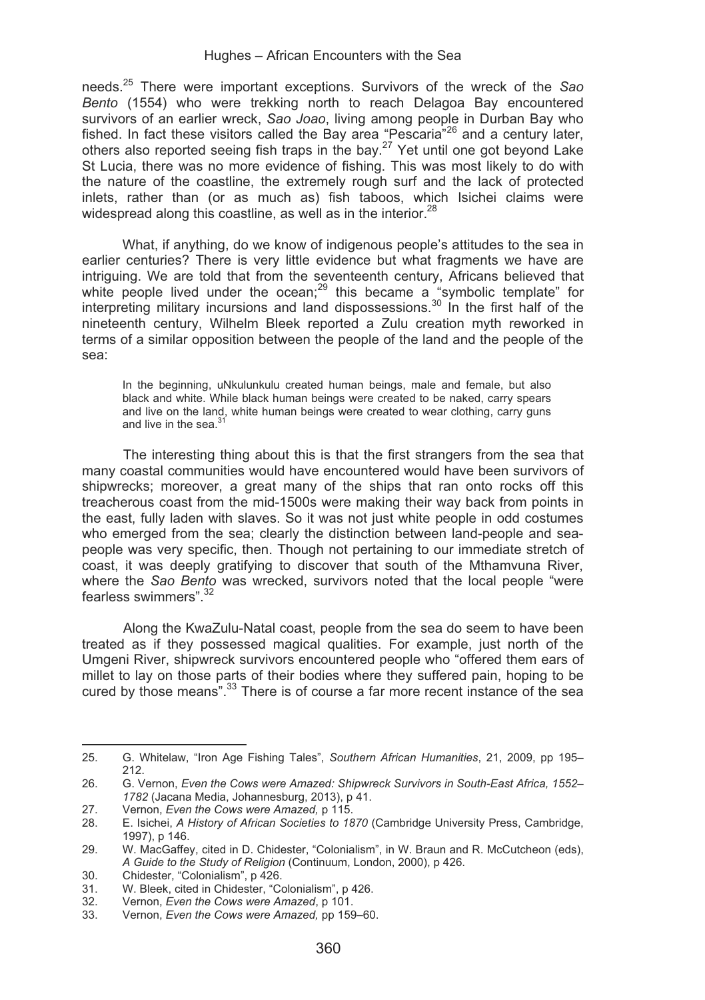needs.25 There were important exceptions. Survivors of the wreck of the *Sao Bento* (1554) who were trekking north to reach Delagoa Bay encountered survivors of an earlier wreck, *Sao Joao*, living among people in Durban Bay who fished. In fact these visitors called the Bay area "Pescaria"<sup>26</sup> and a century later, others also reported seeing fish traps in the bay.27 Yet until one got beyond Lake St Lucia, there was no more evidence of fishing. This was most likely to do with the nature of the coastline, the extremely rough surf and the lack of protected inlets, rather than (or as much as) fish taboos, which Isichei claims were widespread along this coastline, as well as in the interior.<sup>28</sup>

What, if anything, do we know of indigenous people's attitudes to the sea in earlier centuries? There is very little evidence but what fragments we have are intriguing. We are told that from the seventeenth century, Africans believed that white people lived under the ocean;<sup>29</sup> this became a "symbolic template" for interpreting military incursions and land dispossessions.<sup>30</sup> In the first half of the nineteenth century, Wilhelm Bleek reported a Zulu creation myth reworked in terms of a similar opposition between the people of the land and the people of the sea:

In the beginning, uNkulunkulu created human beings, male and female, but also black and white. While black human beings were created to be naked, carry spears and live on the land, white human beings were created to wear clothing, carry guns and live in the sea $^{31}$ 

The interesting thing about this is that the first strangers from the sea that many coastal communities would have encountered would have been survivors of shipwrecks; moreover, a great many of the ships that ran onto rocks off this treacherous coast from the mid-1500s were making their way back from points in the east, fully laden with slaves. So it was not just white people in odd costumes who emerged from the sea; clearly the distinction between land-people and seapeople was very specific, then. Though not pertaining to our immediate stretch of coast, it was deeply gratifying to discover that south of the Mthamvuna River, where the *Sao Bento* was wrecked, survivors noted that the local people "were fearless swimmers".32

Along the KwaZulu-Natal coast, people from the sea do seem to have been treated as if they possessed magical qualities. For example, just north of the Umgeni River, shipwreck survivors encountered people who "offered them ears of millet to lay on those parts of their bodies where they suffered pain, hoping to be cured by those means".<sup>33</sup> There is of course a far more recent instance of the sea

<u> 1989 - Johann Stein, mars an t-Amerikaansk kommunister (</u>

<sup>25.</sup> G. Whitelaw, "Iron Age Fishing Tales", *Southern African Humanities*, 21, 2009, pp 195– 212.

<sup>26.</sup> G. Vernon, *Even the Cows were Amazed: Shipwreck Survivors in South-East Africa, 1552*– *1782* (Jacana Media, Johannesburg, 2013), p 41.

<sup>27.</sup> Vernon, *Even the Cows were Amazed,* p 115.

<sup>28.</sup> E. Isichei, *A History of African Societies to 1870* (Cambridge University Press, Cambridge, 1997), p 146.

<sup>29.</sup> W. MacGaffey, cited in D. Chidester, "Colonialism", in W. Braun and R. McCutcheon (eds), *A Guide to the Study of Religion* (Continuum, London, 2000), p 426.

<sup>30.</sup> Chidester, "Colonialism", p 426.<br>31. W. Bleek, cited in Chidester, "Co

<sup>31.</sup> W. Bleek, cited in Chidester, "Colonialism", p 426.<br>32 Vernon. Even the Cows were Amazed, p 101.

<sup>32.</sup> Vernon, *Even the Cows were Amazed*, p 101.

<sup>33.</sup> Vernon, *Even the Cows were Amazed,* pp 159–60.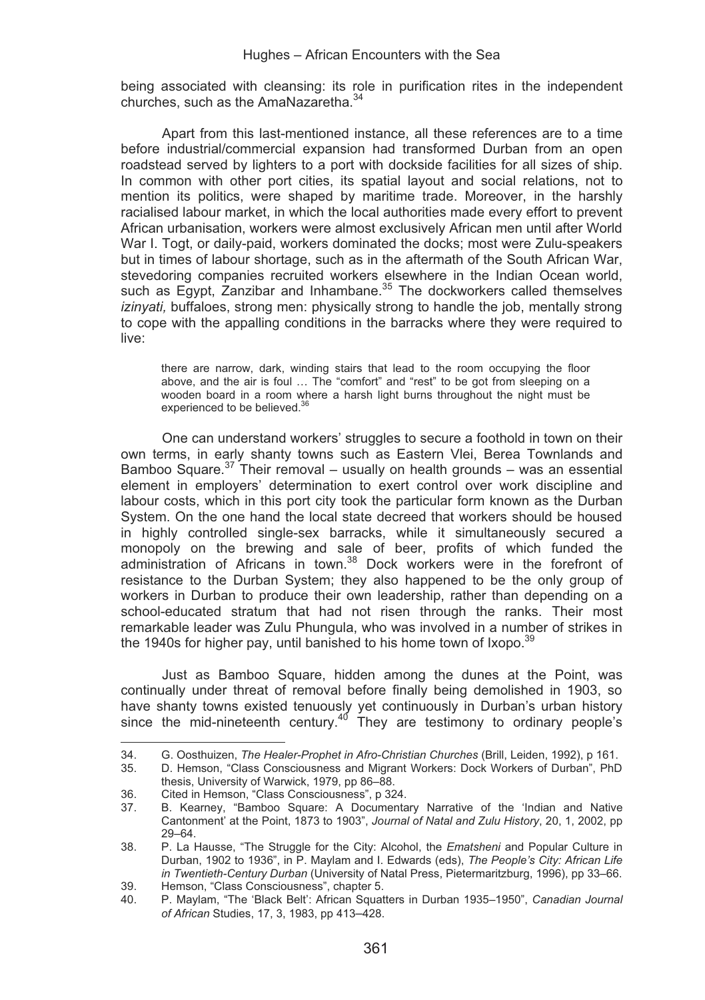being associated with cleansing: its role in purification rites in the independent churches, such as the AmaNazaretha.34

Apart from this last-mentioned instance, all these references are to a time before industrial/commercial expansion had transformed Durban from an open roadstead served by lighters to a port with dockside facilities for all sizes of ship. In common with other port cities, its spatial layout and social relations, not to mention its politics, were shaped by maritime trade. Moreover, in the harshly racialised labour market, in which the local authorities made every effort to prevent African urbanisation, workers were almost exclusively African men until after World War I. Togt, or daily-paid, workers dominated the docks; most were Zulu-speakers but in times of labour shortage, such as in the aftermath of the South African War, stevedoring companies recruited workers elsewhere in the Indian Ocean world, such as Egypt, Zanzibar and Inhambane.<sup>35</sup> The dockworkers called themselves *izinyati,* buffaloes, strong men: physically strong to handle the job, mentally strong to cope with the appalling conditions in the barracks where they were required to live:

there are narrow, dark, winding stairs that lead to the room occupying the floor above, and the air is foul … The "comfort" and "rest" to be got from sleeping on a wooden board in a room where a harsh light burns throughout the night must be experienced to be believed.<sup>36</sup>

One can understand workers' struggles to secure a foothold in town on their own terms, in early shanty towns such as Eastern Vlei, Berea Townlands and Bamboo Square.<sup>37</sup> Their removal – usually on health grounds – was an essential element in employers' determination to exert control over work discipline and labour costs, which in this port city took the particular form known as the Durban System. On the one hand the local state decreed that workers should be housed in highly controlled single-sex barracks, while it simultaneously secured a monopoly on the brewing and sale of beer, profits of which funded the administration of Africans in town.<sup>38</sup> Dock workers were in the forefront of resistance to the Durban System; they also happened to be the only group of workers in Durban to produce their own leadership, rather than depending on a school-educated stratum that had not risen through the ranks. Their most remarkable leader was Zulu Phungula, who was involved in a number of strikes in the 1940s for higher pay, until banished to his home town of Ixopo.  $39$ 

Just as Bamboo Square, hidden among the dunes at the Point, was continually under threat of removal before finally being demolished in 1903, so have shanty towns existed tenuously yet continuously in Durban's urban history<br>since the mid-nineteenth century.<sup>40</sup> They are testimony to ordinary people's

<u> Alexandria de la contexta de la contexta de la contexta de la contexta de la contexta de la contexta de la c</u>

<sup>34.</sup> G. Oosthuizen, *The Healer-Prophet in Afro-Christian Churches* (Brill, Leiden, 1992), p 161.

<sup>35.</sup> D. Hemson, "Class Consciousness and Migrant Workers: Dock Workers of Durban", PhD thesis, University of Warwick, 1979, pp 86–88.

<sup>36.</sup> Cited in Hemson, "Class Consciousness", p 324.

B. Kearney, "Bamboo Square: A Documentary Narrative of the 'Indian and Native Cantonment' at the Point, 1873 to 1903", *Journal of Natal and Zulu History*, 20, 1, 2002, pp 29–64.

<sup>38.</sup> P. La Hausse, "The Struggle for the City: Alcohol, the *Ematsheni* and Popular Culture in Durban, 1902 to 1936", in P. Maylam and I. Edwards (eds), *The People's City: African Life in Twentieth-Century Durban* (University of Natal Press, Pietermaritzburg, 1996), pp 33–66.

<sup>39.</sup> Hemson, "Class Consciousness", chapter 5.<br>40. P. Maylam "The 'Black Belt': African Squat 40. P. Maylam, "The 'Black Belt': African Squatters in Durban 1935–1950", *Canadian Journal of African* Studies, 17, 3, 1983, pp 413–428.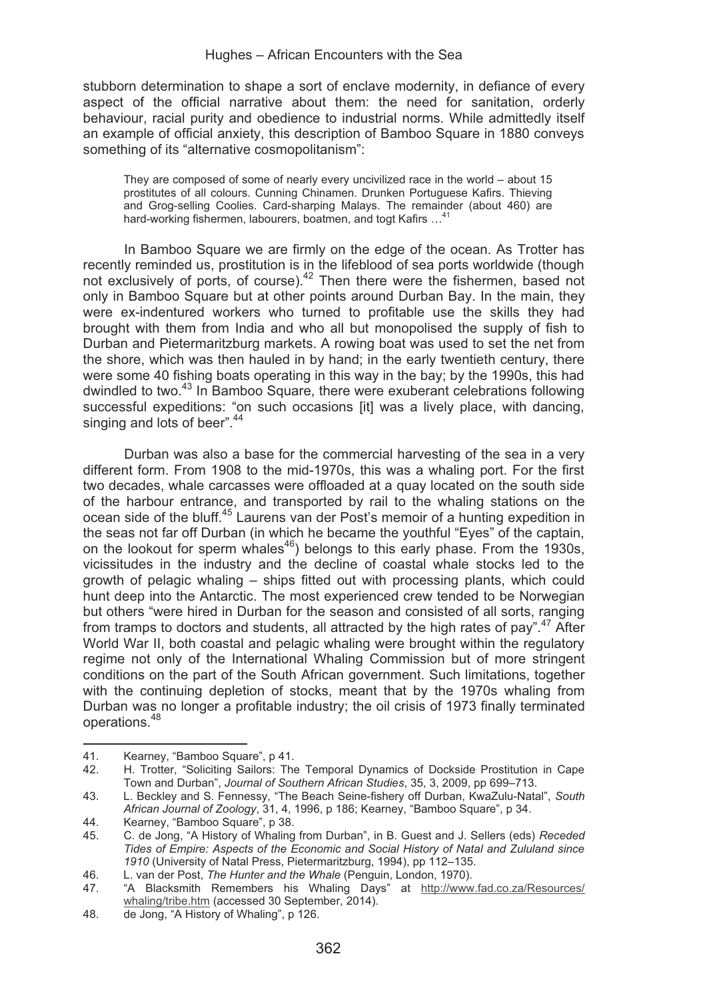stubborn determination to shape a sort of enclave modernity, in defiance of every aspect of the official narrative about them: the need for sanitation, orderly behaviour, racial purity and obedience to industrial norms. While admittedly itself an example of official anxiety, this description of Bamboo Square in 1880 conveys something of its "alternative cosmopolitanism":

They are composed of some of nearly every uncivilized race in the world – about 15 prostitutes of all colours. Cunning Chinamen. Drunken Portuguese Kafirs. Thieving and Grog-selling Coolies. Card-sharping Malays. The remainder (about 460) are hard-working fishermen, labourers, boatmen, and togt Kafirs …41

In Bamboo Square we are firmly on the edge of the ocean. As Trotter has recently reminded us, prostitution is in the lifeblood of sea ports worldwide (though not exclusively of ports, of course).<sup>42</sup> Then there were the fishermen, based not only in Bamboo Square but at other points around Durban Bay. In the main, they were ex-indentured workers who turned to profitable use the skills they had brought with them from India and who all but monopolised the supply of fish to Durban and Pietermaritzburg markets. A rowing boat was used to set the net from the shore, which was then hauled in by hand; in the early twentieth century, there were some 40 fishing boats operating in this way in the bay; by the 1990s, this had dwindled to two.43 In Bamboo Square, there were exuberant celebrations following successful expeditions: "on such occasions [it] was a lively place, with dancing, singing and lots of beer".<sup>44</sup>

Durban was also a base for the commercial harvesting of the sea in a very different form. From 1908 to the mid-1970s, this was a whaling port. For the first two decades, whale carcasses were offloaded at a quay located on the south side of the harbour entrance, and transported by rail to the whaling stations on the ocean side of the bluff.45 Laurens van der Post's memoir of a hunting expedition in the seas not far off Durban (in which he became the youthful "Eyes" of the captain, on the lookout for sperm whales<sup>46</sup>) belongs to this early phase. From the 1930s, vicissitudes in the industry and the decline of coastal whale stocks led to the growth of pelagic whaling – ships fitted out with processing plants, which could hunt deep into the Antarctic. The most experienced crew tended to be Norwegian but others "were hired in Durban for the season and consisted of all sorts, ranging from tramps to doctors and students, all attracted by the high rates of pay".<sup>47</sup> After World War II, both coastal and pelagic whaling were brought within the regulatory regime not only of the International Whaling Commission but of more stringent conditions on the part of the South African government. Such limitations, together with the continuing depletion of stocks, meant that by the 1970s whaling from Durban was no longer a profitable industry; the oil crisis of 1973 finally terminated operations.<sup>48</sup>

<sup>41.</sup> Kearney, "Bamboo Square", p 41.<br>42 H Trotter "Soliciting Sailors: The

<sup>42.</sup> H. Trotter, "Soliciting Sailors: The Temporal Dynamics of Dockside Prostitution in Cape Town and Durban", *Journal of Southern African Studies*, 35, 3, 2009, pp 699–713.

<sup>43.</sup> L. Beckley and S. Fennessy, "The Beach Seine-fishery off Durban, KwaZulu-Natal", *South African Journal of Zoology*, 31, 4, 1996, p 186; Kearney, "Bamboo Square", p 34.

<sup>44.</sup> Kearney, "Bamboo Square", p 38.

<sup>45.</sup> C. de Jong, "A History of Whaling from Durban", in B. Guest and J. Sellers (eds) *Receded Tides of Empire: Aspects of the Economic and Social History of Natal and Zululand since 1910* (University of Natal Press, Pietermaritzburg, 1994), pp 112–135.

<sup>46.</sup> L. van der Post, *The Hunter and the Whale* (Penguin, London, 1970).

<sup>47. &</sup>quot;A Blacksmith Remembers his Whaling Days" at http://www.fad.co.za/Resources/ whaling/tribe.htm (accessed 30 September, 2014).

<sup>48.</sup> de Jong, "A History of Whaling", p 126.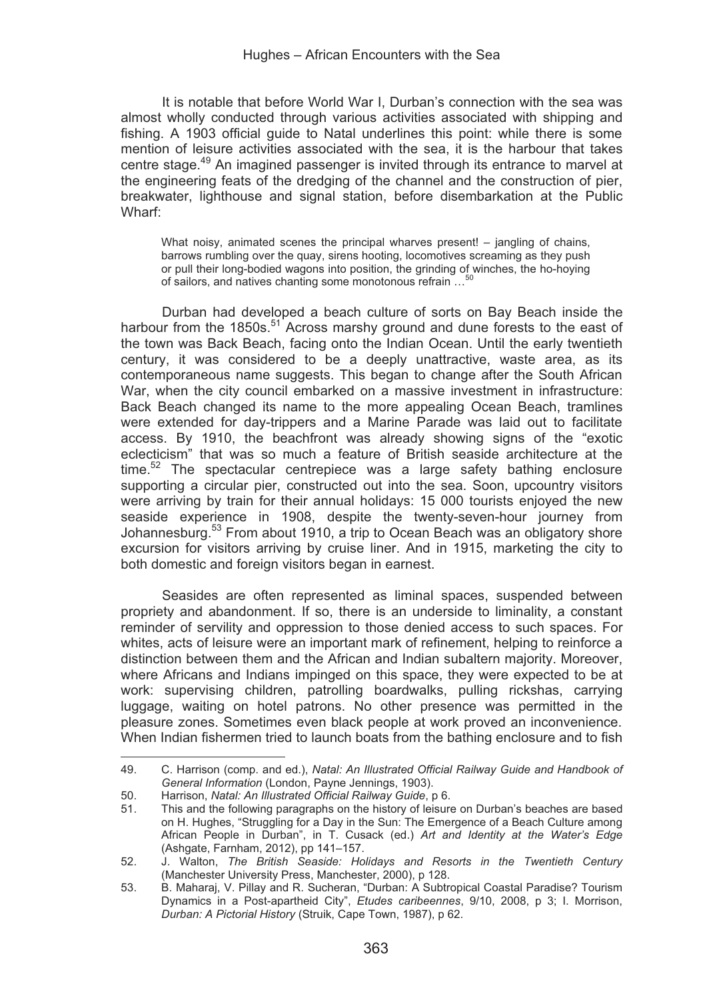It is notable that before World War I, Durban's connection with the sea was almost wholly conducted through various activities associated with shipping and fishing. A 1903 official guide to Natal underlines this point: while there is some mention of leisure activities associated with the sea, it is the harbour that takes centre stage.<sup>49</sup> An imagined passenger is invited through its entrance to marvel at the engineering feats of the dredging of the channel and the construction of pier, breakwater, lighthouse and signal station, before disembarkation at the Public Wharf:

What noisy, animated scenes the principal wharves present! – jangling of chains, barrows rumbling over the quay, sirens hooting, locomotives screaming as they push or pull their long-bodied wagons into position, the grinding of winches, the ho-hoying of sailors, and natives chanting some monotonous refrain ...

Durban had developed a beach culture of sorts on Bay Beach inside the harbour from the 1850s.<sup>51</sup> Across marshy ground and dune forests to the east of the town was Back Beach, facing onto the Indian Ocean. Until the early twentieth century, it was considered to be a deeply unattractive, waste area, as its contemporaneous name suggests. This began to change after the South African War, when the city council embarked on a massive investment in infrastructure: Back Beach changed its name to the more appealing Ocean Beach, tramlines were extended for day-trippers and a Marine Parade was laid out to facilitate access. By 1910, the beachfront was already showing signs of the "exotic eclecticism" that was so much a feature of British seaside architecture at the time. $52$  The spectacular centrepiece was a large safety bathing enclosure supporting a circular pier, constructed out into the sea. Soon, upcountry visitors were arriving by train for their annual holidays: 15 000 tourists enjoyed the new seaside experience in 1908, despite the twenty-seven-hour journey from Johannesburg.<sup>53</sup> From about 1910, a trip to Ocean Beach was an obligatory shore excursion for visitors arriving by cruise liner. And in 1915, marketing the city to both domestic and foreign visitors began in earnest.

Seasides are often represented as liminal spaces, suspended between propriety and abandonment. If so, there is an underside to liminality, a constant reminder of servility and oppression to those denied access to such spaces. For whites, acts of leisure were an important mark of refinement, helping to reinforce a distinction between them and the African and Indian subaltern majority. Moreover, where Africans and Indians impinged on this space, they were expected to be at work: supervising children, patrolling boardwalks, pulling rickshas, carrying luggage, waiting on hotel patrons. No other presence was permitted in the pleasure zones. Sometimes even black people at work proved an inconvenience. When Indian fishermen tried to launch boats from the bathing enclosure and to fish

<u> Alexandria de la contexta de la contexta de la contexta de la contexta de la contexta de la contexta de la c</u>

<sup>49.</sup> C. Harrison (comp. and ed.), *Natal: An Illustrated Official Railway Guide and Handbook of General Information* (London, Payne Jennings, 1903).

<sup>50.</sup> Harrison, *Natal: An Illustrated Official Railway Guide*, p 6.

<sup>51.</sup> This and the following paragraphs on the history of leisure on Durban's beaches are based on H. Hughes, "Struggling for a Day in the Sun: The Emergence of a Beach Culture among African People in Durban", in T. Cusack (ed.) *Art and Identity at the Water's Edge*  (Ashgate, Farnham, 2012), pp 141–157.

<sup>52.</sup> J. Walton, *The British Seaside: Holidays and Resorts in the Twentieth Century*  (Manchester University Press, Manchester, 2000), p 128.

<sup>53.</sup> B. Maharaj, V. Pillay and R. Sucheran, "Durban: A Subtropical Coastal Paradise? Tourism Dynamics in a Post-apartheid City", *Etudes caribeennes*, 9/10, 2008, p 3; I. Morrison, *Durban: A Pictorial History* (Struik, Cape Town, 1987), p 62.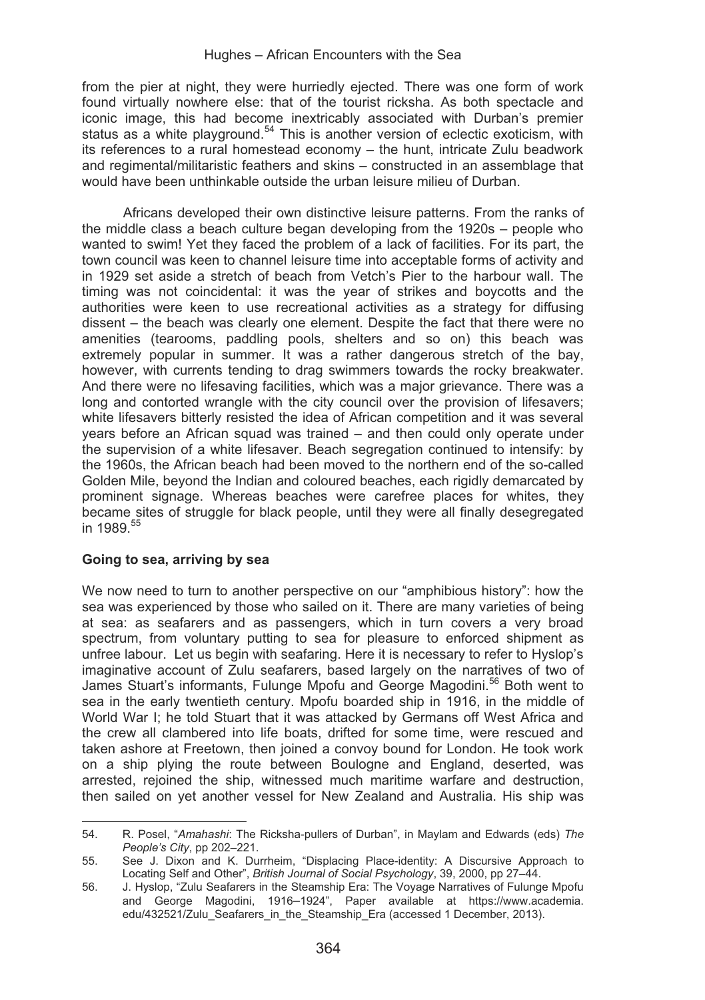from the pier at night, they were hurriedly ejected. There was one form of work found virtually nowhere else: that of the tourist ricksha. As both spectacle and iconic image, this had become inextricably associated with Durban's premier status as a white playground.<sup>54</sup> This is another version of eclectic exoticism, with its references to a rural homestead economy – the hunt, intricate Zulu beadwork and regimental/militaristic feathers and skins – constructed in an assemblage that would have been unthinkable outside the urban leisure milieu of Durban.

Africans developed their own distinctive leisure patterns. From the ranks of the middle class a beach culture began developing from the 1920s – people who wanted to swim! Yet they faced the problem of a lack of facilities. For its part, the town council was keen to channel leisure time into acceptable forms of activity and in 1929 set aside a stretch of beach from Vetch's Pier to the harbour wall. The timing was not coincidental: it was the year of strikes and boycotts and the authorities were keen to use recreational activities as a strategy for diffusing dissent – the beach was clearly one element. Despite the fact that there were no amenities (tearooms, paddling pools, shelters and so on) this beach was extremely popular in summer. It was a rather dangerous stretch of the bay, however, with currents tending to drag swimmers towards the rocky breakwater. And there were no lifesaving facilities, which was a major grievance. There was a long and contorted wrangle with the city council over the provision of lifesavers; white lifesavers bitterly resisted the idea of African competition and it was several years before an African squad was trained – and then could only operate under the supervision of a white lifesaver. Beach segregation continued to intensify: by the 1960s, the African beach had been moved to the northern end of the so-called Golden Mile, beyond the Indian and coloured beaches, each rigidly demarcated by prominent signage. Whereas beaches were carefree places for whites, they became sites of struggle for black people, until they were all finally desegregated in 1989<sup>55</sup>

#### **Going to sea, arriving by sea**

<u> 1989 - Johann Stein, mars an t-Amerikaansk kommunister (</u>

We now need to turn to another perspective on our "amphibious history": how the sea was experienced by those who sailed on it. There are many varieties of being at sea: as seafarers and as passengers, which in turn covers a very broad spectrum, from voluntary putting to sea for pleasure to enforced shipment as unfree labour. Let us begin with seafaring. Here it is necessary to refer to Hyslop's imaginative account of Zulu seafarers, based largely on the narratives of two of James Stuart's informants, Fulunge Mpofu and George Magodini.<sup>56</sup> Both went to sea in the early twentieth century. Mpofu boarded ship in 1916, in the middle of World War I; he told Stuart that it was attacked by Germans off West Africa and the crew all clambered into life boats, drifted for some time, were rescued and taken ashore at Freetown, then joined a convoy bound for London. He took work on a ship plying the route between Boulogne and England, deserted, was arrested, rejoined the ship, witnessed much maritime warfare and destruction, then sailed on yet another vessel for New Zealand and Australia. His ship was

<sup>54.</sup> R. Posel, "*Amahashi*: The Ricksha-pullers of Durban", in Maylam and Edwards (eds) *The People's City*, pp 202–221.

<sup>55.</sup> See J. Dixon and K. Durrheim, "Displacing Place-identity: A Discursive Approach to Locating Self and Other", *British Journal of Social Psychology*, 39, 2000, pp 27–44.

<sup>56.</sup> J. Hyslop, "Zulu Seafarers in the Steamship Era: The Voyage Narratives of Fulunge Mpofu and George Magodini, 1916–1924", Paper available at https://www.academia. edu/432521/Zulu\_Seafarers\_in\_the\_Steamship\_Era (accessed 1 December, 2013).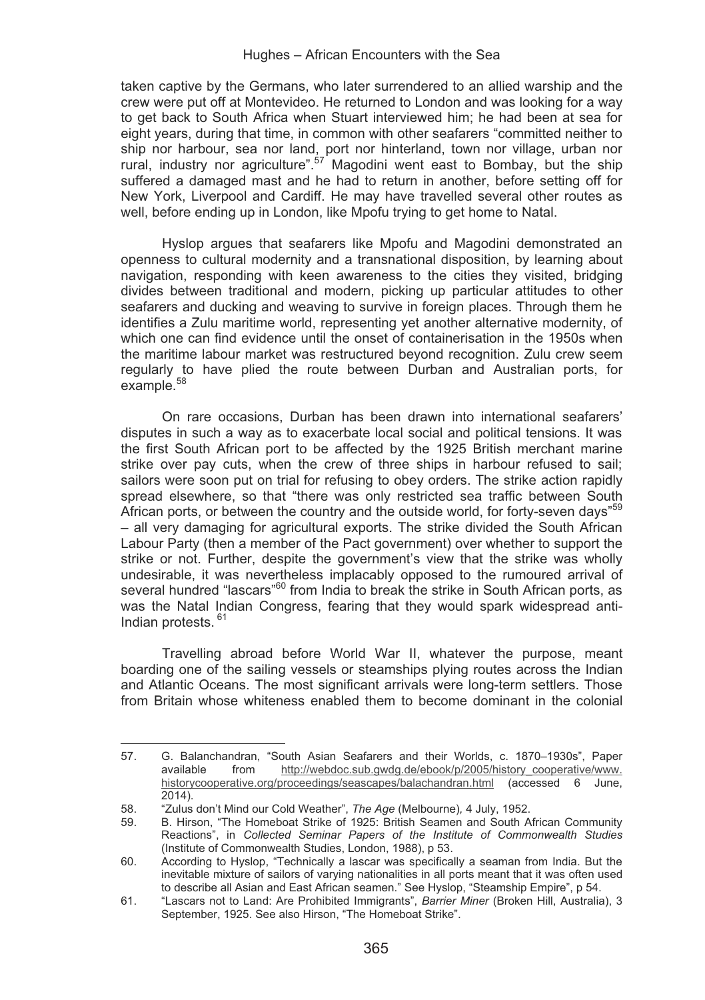taken captive by the Germans, who later surrendered to an allied warship and the crew were put off at Montevideo. He returned to London and was looking for a way to get back to South Africa when Stuart interviewed him; he had been at sea for eight years, during that time, in common with other seafarers "committed neither to ship nor harbour, sea nor land, port nor hinterland, town nor village, urban nor rural, industry nor agriculture".<sup>57</sup> Magodini went east to Bombay, but the ship suffered a damaged mast and he had to return in another, before setting off for New York, Liverpool and Cardiff. He may have travelled several other routes as well, before ending up in London, like Mpofu trying to get home to Natal.

Hyslop argues that seafarers like Mpofu and Magodini demonstrated an openness to cultural modernity and a transnational disposition, by learning about navigation, responding with keen awareness to the cities they visited, bridging divides between traditional and modern, picking up particular attitudes to other seafarers and ducking and weaving to survive in foreign places. Through them he identifies a Zulu maritime world, representing yet another alternative modernity, of which one can find evidence until the onset of containerisation in the 1950s when the maritime labour market was restructured beyond recognition. Zulu crew seem regularly to have plied the route between Durban and Australian ports, for example.58

On rare occasions, Durban has been drawn into international seafarers' disputes in such a way as to exacerbate local social and political tensions. It was the first South African port to be affected by the 1925 British merchant marine strike over pay cuts, when the crew of three ships in harbour refused to sail; sailors were soon put on trial for refusing to obey orders. The strike action rapidly spread elsewhere, so that "there was only restricted sea traffic between South African ports, or between the country and the outside world, for forty-seven days"<sup>59</sup> – all very damaging for agricultural exports. The strike divided the South African Labour Party (then a member of the Pact government) over whether to support the strike or not. Further, despite the government's view that the strike was wholly undesirable, it was nevertheless implacably opposed to the rumoured arrival of several hundred "lascars"<sup>60</sup> from India to break the strike in South African ports, as was the Natal Indian Congress, fearing that they would spark widespread anti-Indian protests.<sup>61</sup>

Travelling abroad before World War II, whatever the purpose, meant boarding one of the sailing vessels or steamships plying routes across the Indian and Atlantic Oceans. The most significant arrivals were long-term settlers. Those from Britain whose whiteness enabled them to become dominant in the colonial

<u> Alexandria de la contexta de la contexta de la contexta de la contexta de la contexta de la contexta de la c</u>

<sup>57.</sup> G. Balanchandran, "South Asian Seafarers and their Worlds, c. 1870–1930s", Paper<br>available from http://webdoc.sub.gwdg.de/ebook/p/2005/history copperative/www. http://webdoc.sub.gwdg.de/ebook/p/2005/history\_cooperative/www. historycooperative.org/proceedings/seascapes/balachandran.html (accessed 6 June, 2014).

<sup>58. &</sup>quot;Zulus don't Mind our Cold Weather", *The Age* (Melbourne)*,* 4 July, 1952.

<sup>59.</sup> B. Hirson, "The Homeboat Strike of 1925: British Seamen and South African Community Reactions", in *Collected Seminar Papers of the Institute of Commonwealth Studies* (Institute of Commonwealth Studies, London, 1988), p 53.

<sup>60.</sup> According to Hyslop, "Technically a lascar was specifically a seaman from India. But the inevitable mixture of sailors of varying nationalities in all ports meant that it was often used to describe all Asian and East African seamen." See Hyslop, "Steamship Empire", p 54.

<sup>61. &</sup>quot;Lascars not to Land: Are Prohibited Immigrants", *Barrier Miner* (Broken Hill, Australia), 3 September, 1925. See also Hirson, "The Homeboat Strike".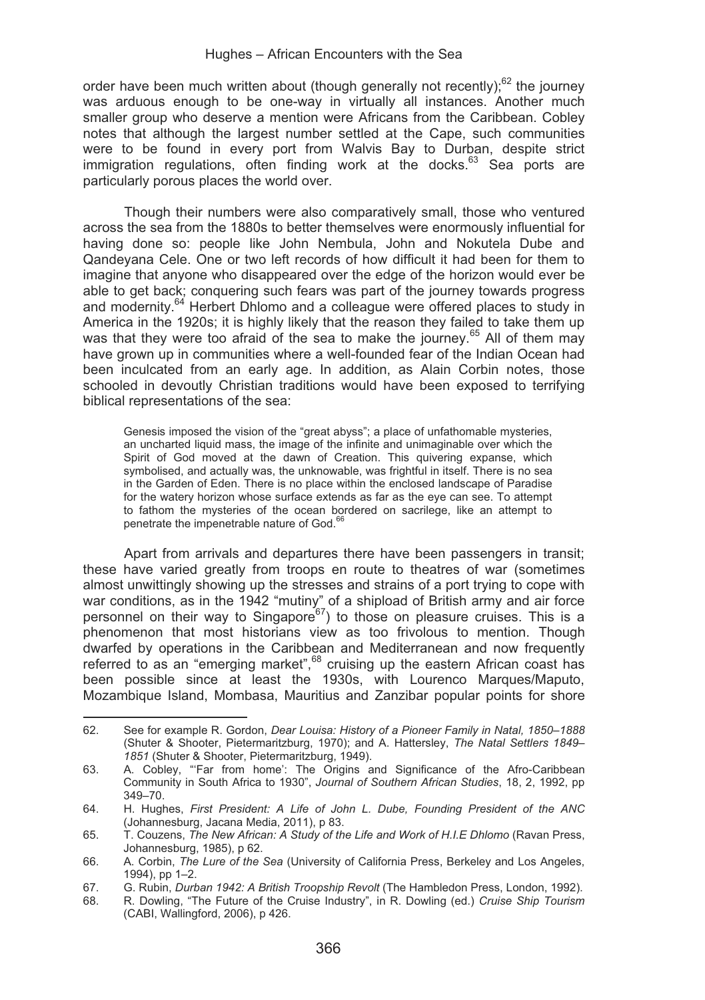order have been much written about (though generally not recently); $62$  the journey was arduous enough to be one-way in virtually all instances. Another much smaller group who deserve a mention were Africans from the Caribbean. Cobley notes that although the largest number settled at the Cape, such communities were to be found in every port from Walvis Bay to Durban, despite strict immigration regulations, often finding work at the docks.<sup>63</sup> Sea ports are particularly porous places the world over.

Though their numbers were also comparatively small, those who ventured across the sea from the 1880s to better themselves were enormously influential for having done so: people like John Nembula, John and Nokutela Dube and Qandeyana Cele. One or two left records of how difficult it had been for them to imagine that anyone who disappeared over the edge of the horizon would ever be able to get back; conquering such fears was part of the journey towards progress and modernity.<sup>64</sup> Herbert Dhlomo and a colleague were offered places to study in America in the 1920s; it is highly likely that the reason they failed to take them up was that they were too afraid of the sea to make the journey.<sup>65</sup> All of them may have grown up in communities where a well-founded fear of the Indian Ocean had been inculcated from an early age. In addition, as Alain Corbin notes, those schooled in devoutly Christian traditions would have been exposed to terrifying biblical representations of the sea:

Genesis imposed the vision of the "great abyss"; a place of unfathomable mysteries, an uncharted liquid mass, the image of the infinite and unimaginable over which the Spirit of God moved at the dawn of Creation. This quivering expanse, which symbolised, and actually was, the unknowable, was frightful in itself. There is no sea in the Garden of Eden. There is no place within the enclosed landscape of Paradise for the watery horizon whose surface extends as far as the eye can see. To attempt to fathom the mysteries of the ocean bordered on sacrilege, like an attempt to penetrate the impenetrable nature of God.<sup>66</sup>

Apart from arrivals and departures there have been passengers in transit; these have varied greatly from troops en route to theatres of war (sometimes almost unwittingly showing up the stresses and strains of a port trying to cope with war conditions, as in the 1942 "mutiny" of a shipload of British army and air force personnel on their way to Singapore<sup>67</sup>) to those on pleasure cruises. This is a phenomenon that most historians view as too frivolous to mention. Though dwarfed by operations in the Caribbean and Mediterranean and now frequently referred to as an "emerging market", 68 cruising up the eastern African coast has been possible since at least the 1930s, with Lourenco Marques/Maputo, Mozambique Island, Mombasa, Mauritius and Zanzibar popular points for shore

<sup>&</sup>lt;u> Alexandria de la contexta de la contexta de la contexta de la contexta de la contexta de la contexta de la c</u> 62. See for example R. Gordon, *Dear Louisa: History of a Pioneer Family in Natal, 1850*–*1888*  (Shuter & Shooter, Pietermaritzburg, 1970); and A. Hattersley, *The Natal Settlers 1849*– *1851* (Shuter & Shooter, Pietermaritzburg, 1949).

<sup>63.</sup> A. Cobley, "'Far from home': The Origins and Significance of the Afro-Caribbean Community in South Africa to 1930", *Journal of Southern African Studies*, 18, 2, 1992, pp 349–70.

<sup>64.</sup> H. Hughes, *First President: A Life of John L. Dube, Founding President of the ANC*  (Johannesburg, Jacana Media, 2011), p 83.

<sup>65.</sup> T. Couzens, *The New African: A Study of the Life and Work of H.I.E Dhlomo* (Ravan Press, Johannesburg, 1985), p 62.

<sup>66.</sup> A. Corbin, *The Lure of the Sea* (University of California Press, Berkeley and Los Angeles, 1994), pp 1–2.

<sup>67.</sup> G. Rubin, *Durban 1942: A British Troopship Revolt* (The Hambledon Press, London, 1992).

<sup>68.</sup> R. Dowling, "The Future of the Cruise Industry", in R. Dowling (ed.) *Cruise Ship Tourism* (CABI, Wallingford, 2006), p 426.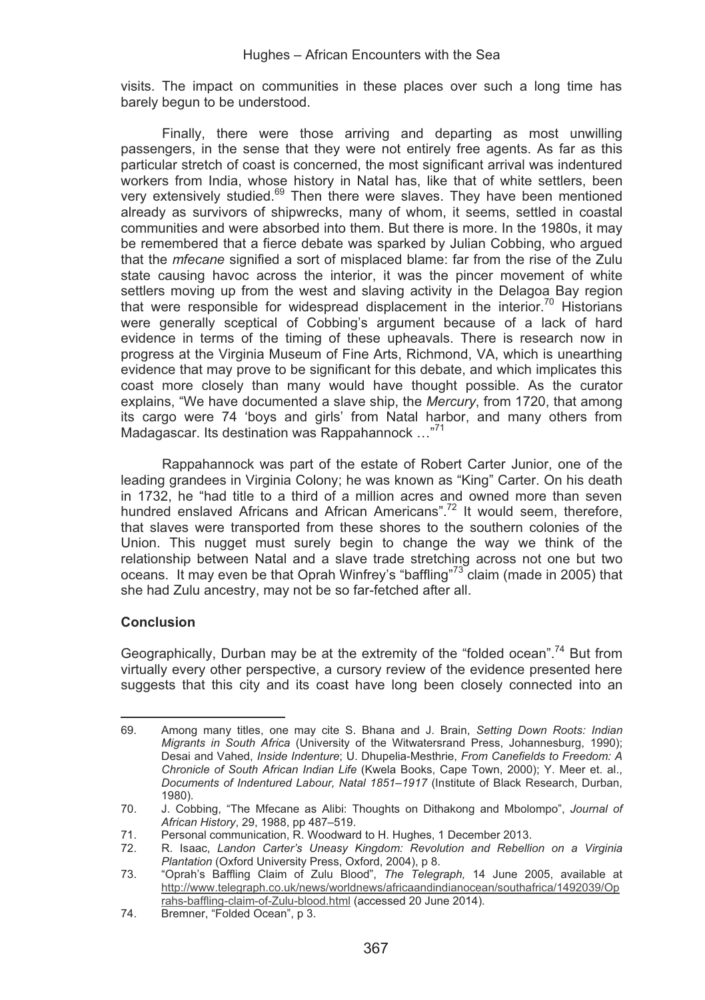visits. The impact on communities in these places over such a long time has barely begun to be understood.

Finally, there were those arriving and departing as most unwilling passengers, in the sense that they were not entirely free agents. As far as this particular stretch of coast is concerned, the most significant arrival was indentured workers from India, whose history in Natal has, like that of white settlers, been very extensively studied.<sup>69</sup> Then there were slaves. They have been mentioned already as survivors of shipwrecks, many of whom, it seems, settled in coastal communities and were absorbed into them. But there is more. In the 1980s, it may be remembered that a fierce debate was sparked by Julian Cobbing, who argued that the *mfecane* signified a sort of misplaced blame: far from the rise of the Zulu state causing havoc across the interior, it was the pincer movement of white settlers moving up from the west and slaving activity in the Delagoa Bay region that were responsible for widespread displacement in the interior.<sup>70</sup> Historians were generally sceptical of Cobbing's argument because of a lack of hard evidence in terms of the timing of these upheavals. There is research now in progress at the Virginia Museum of Fine Arts, Richmond, VA, which is unearthing evidence that may prove to be significant for this debate, and which implicates this coast more closely than many would have thought possible. As the curator explains, "We have documented a slave ship, the *Mercury*, from 1720, that among its cargo were 74 'boys and girls' from Natal harbor, and many others from Madagascar. Its destination was Rappahannock …"71

Rappahannock was part of the estate of Robert Carter Junior, one of the leading grandees in Virginia Colony; he was known as "King" Carter. On his death in 1732, he "had title to a third of a million acres and owned more than seven hundred enslaved Africans and African Americans".<sup>72</sup> It would seem, therefore, that slaves were transported from these shores to the southern colonies of the Union. This nugget must surely begin to change the way we think of the relationship between Natal and a slave trade stretching across not one but two oceans. It may even be that Oprah Winfrey's "baffling"<sup>73</sup> claim (made in 2005) that she had Zulu ancestry, may not be so far-fetched after all.

# **Conclusion**

Geographically, Durban may be at the extremity of the "folded ocean".<sup>74</sup> But from virtually every other perspective, a cursory review of the evidence presented here suggests that this city and its coast have long been closely connected into an

<u> Alexandria de la contrada de la contrada de la contrada de la contrada de la contrada de la contrada de la c</u>

<sup>69.</sup> Among many titles, one may cite S. Bhana and J. Brain, *Setting Down Roots: Indian Migrants in South Africa* (University of the Witwatersrand Press, Johannesburg, 1990); Desai and Vahed, *Inside Indenture*; U. Dhupelia-Mesthrie, *From Canefields to Freedom: A Chronicle of South African Indian Life* (Kwela Books, Cape Town, 2000); Y. Meer et. al., *Documents of Indentured Labour, Natal 1851*–*1917* (Institute of Black Research, Durban, 1980).

<sup>70.</sup> J. Cobbing, "The Mfecane as Alibi: Thoughts on Dithakong and Mbolompo", *Journal of African History*, 29, 1988, pp 487–519.

<sup>71.</sup> Personal communication, R. Woodward to H. Hughes, 1 December 2013.

<sup>72.</sup> R. Isaac, *Landon Carter's Uneasy Kingdom: Revolution and Rebellion on a Virginia Plantation* (Oxford University Press, Oxford, 2004), p 8.

<sup>73. &</sup>quot;Oprah's Baffling Claim of Zulu Blood", *The Telegraph,* 14 June 2005, available at http://www.telegraph.co.uk/news/worldnews/africaandindianocean/southafrica/1492039/Op rahs-baffling-claim-of-Zulu-blood.html (accessed 20 June 2014).

<sup>74.</sup> Bremner, "Folded Ocean", p 3.